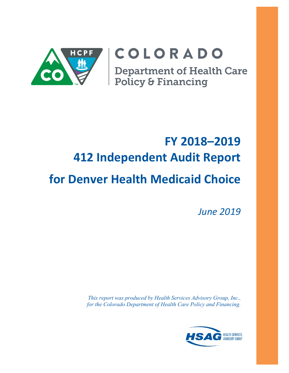

# COLORADO

**Department of Health Care<br>Policy & Financing** 

# **FY 2018–2019 412 Independent Audit Report for Denver Health Medicaid Choice**

*June 2019*

*This report was produced by Health Services Advisory Group, Inc., for the Colorado Department of Health Care Policy and Financing.*

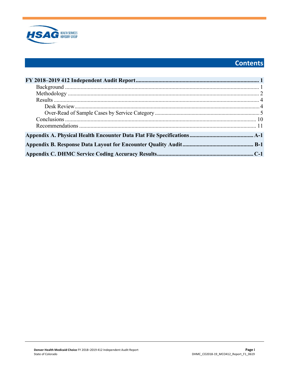

# **Contents**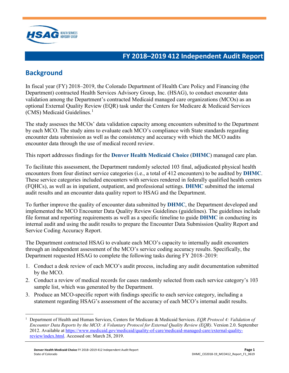

## <span id="page-2-0"></span>**FY 2018–2019 412 Independent Audit Report**

# <span id="page-2-1"></span>**Background**

In fiscal year (FY) 2018–2019, the Colorado Department of Health Care Policy and Financing (the Department) contracted Health Services Advisory Group, Inc. (HSAG), to conduct encounter data validation among the Department's contracted Medicaid managed care organizations (MCOs) as an optional External Quality Review (EQR) task under the Centers for Medicare & Medicaid Services (CMS) Medicaid Guidelines.<sup>[1](#page-2-2)</sup>

The study assesses the MCOs' data validation capacity among encounters submitted to the Department by each MCO. The study aims to evaluate each MCO's compliance with State standards regarding encounter data submission as well as the consistency and accuracy with which the MCO audits encounter data through the use of medical record review.

This report addresses findings for the **Denver Health Medicaid Choice** (**DHMC**) managed care plan.

To facilitate this assessment, the Department randomly selected 103 final, adjudicated physical health encounters from four distinct service categories (i.e., a total of 412 encounters) to be audited by **DHMC**. These service categories included encounters with services rendered in federally qualified health centers (FQHCs), as well as in inpatient, outpatient, and professional settings. **DHMC** submitted the internal audit results and an encounter data quality report to HSAG and the Department.

To further improve the quality of encounter data submitted by **DHMC**, the Department developed and implemented the MCO Encounter Data Quality Review Guidelines (guidelines). The guidelines include file format and reporting requirements as well as a specific timeline to guide **DHMC** in conducting its internal audit and using the audit results to prepare the Encounter Data Submission Quality Report and Service Coding Accuracy Report.

The Department contracted HSAG to evaluate each MCO's capacity to internally audit encounters through an independent assessment of the MCO's service coding accuracy results. Specifically, the Department requested HSAG to complete the following tasks during FY 2018–2019:

- 1. Conduct a desk review of each MCO's audit process, including any audit documentation submitted by the MCO.
- 2. Conduct a review of medical records for cases randomly selected from each service category's 103 sample list, which was generated by the Department.
- 3. Produce an MCO-specific report with findings specific to each service category, including a statement regarding HSAG's assessment of the accuracy of each MCO's internal audit results.

<span id="page-2-2"></span> $\overline{a}$ 1 Department of Health and Human Services, Centers for Medicare & Medicaid Services. *EQR Protocol 4: Validation of Encounter Data Reports by the MCO: A Voluntary Protocol for External Quality Review (EQR)*. Version 2.0. September 2012. Available at [https://www.medicaid.gov/medicaid/quality-of-care/medicaid-managed-care/external-quality](https://www.medicaid.gov/medicaid/quality-of-care/medicaid-managed-care/external-quality-review/index.html)[review/index.html.](https://www.medicaid.gov/medicaid/quality-of-care/medicaid-managed-care/external-quality-review/index.html) Accessed on: March 28, 2019.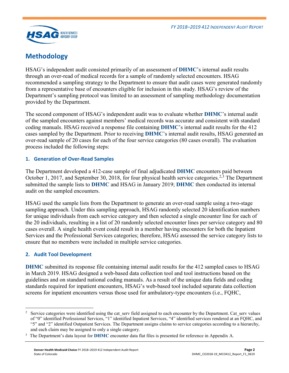

# <span id="page-3-0"></span>**Methodology**

HSAG's independent audit consisted primarily of an assessment of **DHMC**'s internal audit results through an over-read of medical records for a sample of randomly selected encounters. HSAG recommended a sampling strategy to the Department to ensure that audit cases were generated randomly from a representative base of encounters eligible for inclusion in this study. HSAG's review of the Department's sampling protocol was limited to an assessment of sampling methodology documentation provided by the Department.

The second component of HSAG's independent audit was to evaluate whether **DHMC**'s internal audit of the sampled encounters against members' medical records was accurate and consistent with standard coding manuals. HSAG received a response file containing **DHMC**'s internal audit results for the 412 cases sampled by the Department. Prior to receiving **DHMC**'s internal audit results, HSAG generated an over-read sample of 20 cases for each of the four service categories (80 cases overall). The evaluation process included the following steps:

### **1. Generation of Over-Read Samples**

The Department developed a 412-case sample of final adjudicated **DHMC** encounters paid between October 1, 2017, and September 30, 2018, for four physical health service categories.<sup>[2,](#page-3-1)[3](#page-3-2)</sup> The Department submitted the sample lists to **DHMC** and HSAG in January 2019; **DHMC** then conducted its internal audit on the sampled encounters.

HSAG used the sample lists from the Department to generate an over-read sample using a two-stage sampling approach. Under this sampling approach, HSAG randomly selected 20 identification numbers for unique individuals from each service category and then selected a single encounter line for each of the 20 individuals, resulting in a list of 20 randomly selected encounter lines per service category and 80 cases overall. A single health event could result in a member having encounters for both the Inpatient Services and the Professional Services categories; therefore, HSAG assessed the service category lists to ensure that no members were included in multiple service categories.

### **2. Audit Tool Development**

**DHMC** submitted its response file containing internal audit results for the 412 sampled cases to HSAG in March 2019. HSAG designed a web-based data collection tool and tool instructions based on the guidelines and on standard national coding manuals. As a result of the unique data fields and coding standards required for inpatient encounters, HSAG's web-based tool included separate data collection screens for inpatient encounters versus those used for ambulatory-type encounters (i.e., FQHC,

<span id="page-3-1"></span> $\overline{a}$ <sup>2</sup> Service categories were identified using the cat\_serv field assigned to each encounter by the Department. Cat\_serv values of "0" identified Professional Services, "1" identified Inpatient Services, "4" identified services rendered at an FQHC, and "5" and "2" identified Outpatient Services. The Department assigns claims to service categories according to a hierarchy, and each claim may be assigned to only a single category.

<span id="page-3-2"></span><sup>&</sup>lt;sup>3</sup> The Department's data layout for **DHMC** encounter data flat files is presented for reference in Appendix A.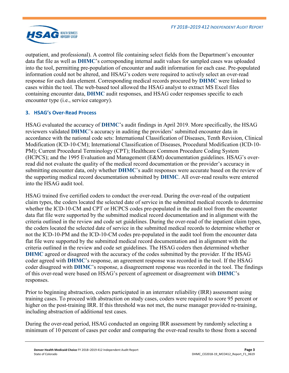

outpatient, and professional). A control file containing select fields from the Department's encounter data flat file as well as **DHMC**'s corresponding internal audit values for sampled cases was uploaded into the tool, permitting pre-population of encounter and audit information for each case. Pre-populated information could not be altered, and HSAG's coders were required to actively select an over-read response for each data element. Corresponding medical records procured by **DHMC** were linked to cases within the tool. The web-based tool allowed the HSAG analyst to extract MS Excel files containing encounter data, **DHMC** audit responses, and HSAG coder responses specific to each encounter type (i.e., service category).

### **3. HSAG's Over-Read Process**

HSAG evaluated the accuracy of **DHMC**'s audit findings in April 2019. More specifically, the HSAG reviewers validated **DHMC**'s accuracy in auditing the providers' submitted encounter data in accordance with the national code sets: International Classification of Diseases, Tenth Revision, Clinical Modification (ICD-10-CM); International Classification of Diseases, Procedural Modification (ICD-10- PM); Current Procedural Terminology (CPT); Healthcare Common Procedure Coding System (HCPCS); and the 1995 Evaluation and Management (E&M) documentation guidelines. HSAG's overread did not evaluate the quality of the medical record documentation or the provider's accuracy in submitting encounter data, only whether **DHMC**'s audit responses were accurate based on the review of the supporting medical record documentation submitted by **DHMC**. All over-read results were entered into the HSAG audit tool.

HSAG trained five certified coders to conduct the over-read. During the over-read of the outpatient claim types, the coders located the selected date of service in the submitted medical records to determine whether the ICD-10-CM and CPT or HCPCS codes pre-populated in the audit tool from the encounter data flat file were supported by the submitted medical record documentation and in alignment with the criteria outlined in the review and code set guidelines. During the over-read of the inpatient claim types, the coders located the selected date of service in the submitted medical records to determine whether or not the ICD-10-PM and the ICD-10-CM codes pre-populated in the audit tool from the encounter data flat file were supported by the submitted medical record documentation and in alignment with the criteria outlined in the review and code set guidelines. The HSAG coders then determined whether **DHMC** agreed or disagreed with the accuracy of the codes submitted by the provider. If the HSAG coder agreed with **DHMC**'s response, an agreement response was recorded in the tool. If the HSAG coder disagreed with **DHMC**'s response, a disagreement response was recorded in the tool. The findings of this over-read were based on HSAG's percent of agreement or disagreement with **DHMC**'s responses.

Prior to beginning abstraction, coders participated in an interrater reliability (IRR) assessment using training cases. To proceed with abstraction on study cases, coders were required to score 95 percent or higher on the post-training IRR. If this threshold was not met, the nurse manager provided re-training, including abstraction of additional test cases.

During the over-read period, HSAG conducted an ongoing IRR assessment by randomly selecting a minimum of 10 percent of cases per coder and comparing the over-read results to those from a second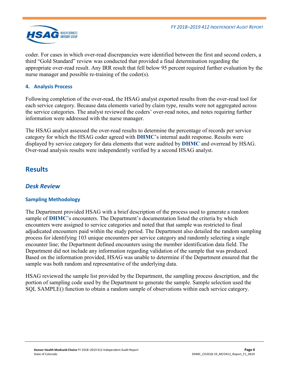

coder. For cases in which over-read discrepancies were identified between the first and second coders, a third "Gold Standard" review was conducted that provided a final determination regarding the appropriate over-read result. Any IRR result that fell below 95 percent required further evaluation by the nurse manager and possible re-training of the coder(s).

#### **4. Analysis Process**

Following completion of the over-read, the HSAG analyst exported results from the over-read tool for each service category. Because data elements varied by claim type, results were not aggregated across the service categories. The analyst reviewed the coders' over-read notes, and notes requiring further information were addressed with the nurse manager.

The HSAG analyst assessed the over-read results to determine the percentage of records per service category for which the HSAG coder agreed with **DHMC**'s internal audit response. Results were displayed by service category for data elements that were audited by **DHMC** and overread by HSAG. Over-read analysis results were independently verified by a second HSAG analyst.

## <span id="page-5-0"></span>**Results**

## <span id="page-5-1"></span>*Desk Review*

### **Sampling Methodology**

The Department provided HSAG with a brief description of the process used to generate a random sample of **DHMC**'s encounters. The Department's documentation listed the criteria by which encounters were assigned to service categories and noted that that sample was restricted to final adjudicated encounters paid within the study period. The Department also detailed the random sampling process for identifying 103 unique encounters per service category and randomly selecting a single encounter line; the Department defined encounters using the member identification data field. The Department did not include any information regarding validation of the sample that was produced. Based on the information provided, HSAG was unable to determine if the Department ensured that the sample was both random and representative of the underlying data.

HSAG reviewed the sample list provided by the Department, the sampling process description, and the portion of sampling code used by the Department to generate the sample. Sample selection used the SQL SAMPLE() function to obtain a random sample of observations within each service category.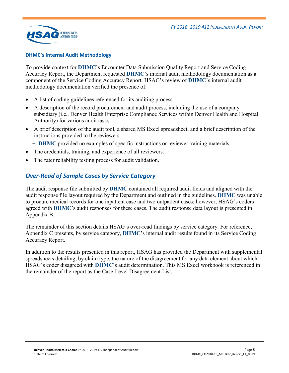

#### **DHMC's Internal Audit Methodology**

To provide context for **DHMC**'s Encounter Data Submission Quality Report and Service Coding Accuracy Report, the Department requested **DHMC**'s internal audit methodology documentation as a component of the Service Coding Accuracy Report. HSAG's review of **DHMC**'s internal audit methodology documentation verified the presence of:

- A list of coding guidelines referenced for its auditing process.
- A description of the record procurement and audit process, including the use of a company subsidiary (i.e., Denver Health Enterprise Compliance Services within Denver Health and Hospital Authority) for various audit tasks.
- A brief description of the audit tool, a shared MS Excel spreadsheet, and a brief description of the instructions provided to the reviewers.
	- ̶ **DHMC** provided no examples of specific instructions or reviewer training materials.
- The credentials, training, and experience of all reviewers.
- <span id="page-6-0"></span>The rater reliability testing process for audit validation.

## *Over-Read of Sample Cases by Service Category*

The audit response file submitted by **DHMC** contained all required audit fields and aligned with the audit response file layout required by the Department and outlined in the guidelines. **DHMC** was unable to procure medical records for one inpatient case and two outpatient cases; however, HSAG's coders agreed with **DHMC**'s audit responses for these cases. The audit response data layout is presented in Appendix B.

The remainder of this section details HSAG's over-read findings by service category. For reference, Appendix C presents, by service category, **DHMC**'s internal audit results found in its Service Coding Accuracy Report.

In addition to the results presented in this report, HSAG has provided the Department with supplemental spreadsheets detailing, by claim type, the nature of the disagreement for any data element about which HSAG's coder disagreed with **DHMC**'s audit determination. This MS Excel workbook is referenced in the remainder of the report as the Case-Level Disagreement List.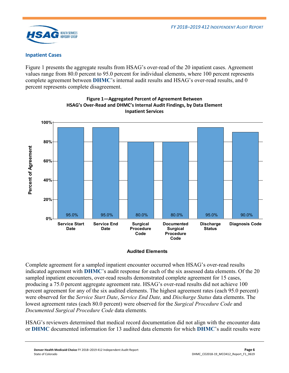

#### **Inpatient Cases**

[Figure 1](#page-7-0) presents the aggregate results from HSAG's over-read of the 20 inpatient cases. Agreement values range from 80.0 percent to 95.0 percent for individual elements, where 100 percent represents complete agreement between **DHMC**'s internal audit results and HSAG's over-read results, and 0 percent represents complete disagreement.

<span id="page-7-0"></span>



#### **Audited Elements**

Complete agreement for a sampled inpatient encounter occurred when HSAG's over-read results indicated agreement with **DHMC**'s audit response for each of the six assessed data elements. Of the 20 sampled inpatient encounters, over-read results demonstrated complete agreement for 15 cases, producing a 75.0 percent aggregate agreement rate. HSAG's over-read results did not achieve 100 percent agreement for any of the six audited elements. The highest agreement rates (each 95.0 percent) were observed for the *Service Start Date*, *Service End Date,* and *Discharge Status* data elements. The lowest agreement rates (each 80.0 percent) were observed for the *Surgical Procedure Code* and *Documented Surgical Procedure Code* data elements*.* 

HSAG's reviewers determined that medical record documentation did not align with the encounter data or **DHMC** documented information for 13 audited data elements for which **DHMC**'s audit results were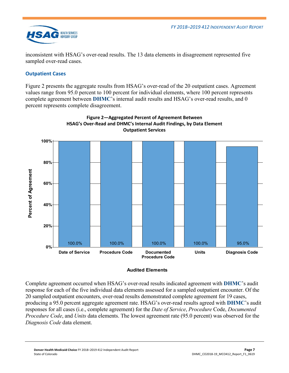

inconsistent with HSAG's over-read results. The 13 data elements in disagreement represented five sampled over-read cases.

## **Outpatient Cases**

[Figure 2](#page-8-0) presents the aggregate results from HSAG's over-read of the 20 outpatient cases. Agreement values range from 95.0 percent to 100 percent for individual elements, where 100 percent represents complete agreement between **DHMC**'s internal audit results and HSAG's over-read results, and 0 percent represents complete disagreement.

<span id="page-8-0"></span>

# **Figure 2—Aggregated Percent of Agreement Between HSAG's Over-Read and DHMC's Internal Audit Findings, by Data Element**

#### **Audited Elements**

Complete agreement occurred when HSAG's over-read results indicated agreement with **DHMC**'s audit response for each of the five individual data elements assessed for a sampled outpatient encounter. Of the 20 sampled outpatient encounters, over-read results demonstrated complete agreement for 19 cases, producing a 95.0 percent aggregate agreement rate. HSAG's over-read results agreed with **DHMC**'s audit responses for all cases (i.e., complete agreement) for the *Date of Service*, *Procedure* Code, *Documented Procedure Code*, and *Units* data elements. The lowest agreement rate (95.0 percent) was observed for the *Diagnosis Code* data element.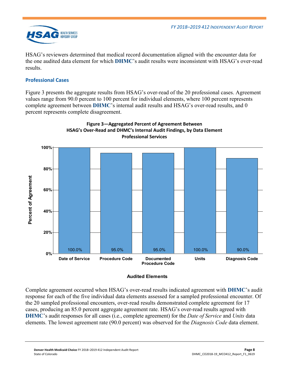

HSAG's reviewers determined that medical record documentation aligned with the encounter data for the one audited data element for which **DHMC**'s audit results were inconsistent with HSAG's over-read results.

## **Professional Cases**

[Figure 3](#page-9-0) presents the aggregate results from HSAG's over-read of the 20 professional cases. Agreement values range from 90.0 percent to 100 percent for individual elements, where 100 percent represents complete agreement between **DHMC**'s internal audit results and HSAG's over-read results, and 0 percent represents complete disagreement.

<span id="page-9-0"></span>

# **Figure 3—Aggregated Percent of Agreement Between**

#### **Audited Elements**

Complete agreement occurred when HSAG's over-read results indicated agreement with **DHMC**'s audit response for each of the five individual data elements assessed for a sampled professional encounter. Of the 20 sampled professional encounters, over-read results demonstrated complete agreement for 17 cases, producing an 85.0 percent aggregate agreement rate. HSAG's over-read results agreed with **DHMC**'s audit responses for all cases (i.e., complete agreement) for the *Date of Service* and *Units* data elements. The lowest agreement rate (90.0 percent) was observed for the *Diagnosis Code* data element.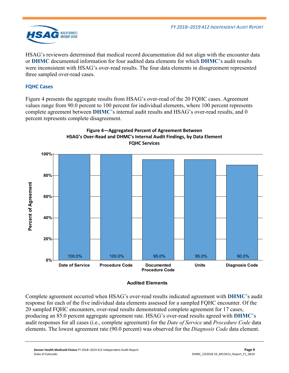

HSAG's reviewers determined that medical record documentation did not align with the encounter data or **DHMC** documented information for four audited data elements for which **DHMC**'s audit results were inconsistent with HSAG's over-read results. The four data elements in disagreement represented three sampled over-read cases.

## **FQHC Cases**

[Figure 4](#page-10-0) presents the aggregate results from HSAG's over-read of the 20 FQHC cases. Agreement values range from 90.0 percent to 100 percent for individual elements, where 100 percent represents complete agreement between **DHMC**'s internal audit results and HSAG's over-read results, and 0 percent represents complete disagreement.

<span id="page-10-0"></span>

#### **Figure 4—Aggregated Percent of Agreement Between HSAG's Over-Read and DHMC's Internal Audit Findings, by Data Element FQHC Services**

**Audited Elements** 

Complete agreement occurred when HSAG's over-read results indicated agreement with **DHMC**'s audit response for each of the five individual data elements assessed for a sampled FQHC encounter. Of the 20 sampled FQHC encounters, over-read results demonstrated complete agreement for 17 cases, producing an 85.0 percent aggregate agreement rate. HSAG's over-read results agreed with **DHMC**'s audit responses for all cases (i.e., complete agreement) for the *Date of Service* and *Procedure Code* data elements. The lowest agreement rate (90.0 percent) was observed for the *Diagnosis Code* data element.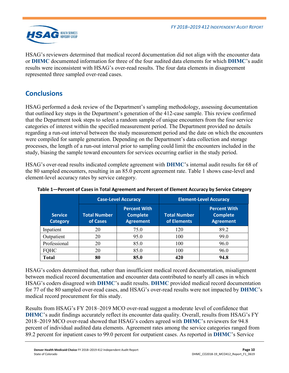

HSAG's reviewers determined that medical record documentation did not align with the encounter data or **DHMC** documented information for three of the four audited data elements for which **DHMC**'s audit results were inconsistent with HSAG's over-read results. The four data elements in disagreement represented three sampled over-read cases.

# <span id="page-11-0"></span>**Conclusions**

HSAG performed a desk review of the Department's sampling methodology, assessing documentation that outlined key steps in the Department's generation of the 412-case sample. This review confirmed that the Department took steps to select a random sample of unique encounters from the four service categories of interest within the specified measurement period. The Department provided no details regarding a run-out interval between the study measurement period and the date on which the encounters were compiled for sample generation. Depending on the Department's data collection and storage processes, the length of a run-out interval prior to sampling could limit the encounters included in the study, biasing the sample toward encounters for services occurring earlier in the study period.

HSAG's over-read results indicated complete agreement with **DHMC**'s internal audit results for 68 of the 80 sampled encounters, resulting in an 85.0 percent agreement rate. [Table 1](#page-11-1) shows case-level and element-level accuracy rates by service category.

|                                   |                                 | <b>Case-Level Accuracy</b>                                 | <b>Element-Level Accuracy</b>      |                                                            |  |
|-----------------------------------|---------------------------------|------------------------------------------------------------|------------------------------------|------------------------------------------------------------|--|
| <b>Service</b><br><b>Category</b> | <b>Total Number</b><br>of Cases | <b>Percent With</b><br><b>Complete</b><br><b>Agreement</b> | <b>Total Number</b><br>of Elements | <b>Percent With</b><br><b>Complete</b><br><b>Agreement</b> |  |
| Inpatient                         | 20                              | 75.0                                                       | 120                                | 89.2                                                       |  |
| Outpatient                        | 20                              | 95.0                                                       | 100                                | 99.0                                                       |  |
| Professional                      | 20                              | 85.0                                                       | 100                                | 96.0                                                       |  |
| <b>FQHC</b>                       | 20                              | 85.0                                                       | 100                                | 96.0                                                       |  |
| Total                             | 80                              | 85.0                                                       | 420                                | 94.8                                                       |  |

<span id="page-11-1"></span>

| Table 1-Percent of Cases in Total Agreement and Percent of Element Accuracy by Service Category |  |  |  |
|-------------------------------------------------------------------------------------------------|--|--|--|
|                                                                                                 |  |  |  |

HSAG's coders determined that, rather than insufficient medical record documentation, misalignment between medical record documentation and encounter data contributed to nearly all cases in which HSAG's coders disagreed with **DHMC**'s audit results. **DHMC** provided medical record documentation for 77 of the 80 sampled over-read cases, and HSAG's over-read results were not impacted by **DHMC**'s medical record procurement for this study.

Results from HSAG's FY 2018–2019 MCO over-read suggest a moderate level of confidence that **DHMC**'s audit findings accurately reflect its encounter data quality. Overall, results from HSAG's FY 2018–2019 MCO over-read showed that HSAG's coders agreed with **DHMC**'s reviewers for 94.8 percent of individual audited data elements. Agreement rates among the service categories ranged from 89.2 percent for inpatient cases to 99.0 percent for outpatient cases. As reported in **DHMC**'s Service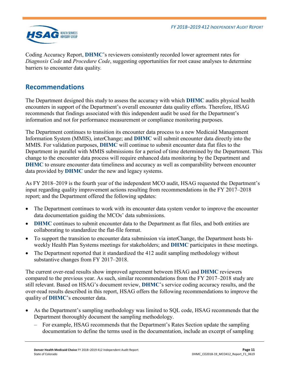

Coding Accuracy Report, **DHMC**'s reviewers consistently recorded lower agreement rates for *Diagnosis Code* and *Procedure Code*, suggesting opportunities for root cause analyses to determine barriers to encounter data quality*.*

## <span id="page-12-0"></span>**Recommendations**

The Department designed this study to assess the accuracy with which **DHMC** audits physical health encounters in support of the Department's overall encounter data quality efforts. Therefore, HSAG recommends that findings associated with this independent audit be used for the Department's information and not for performance measurement or compliance monitoring purposes.

The Department continues to transition its encounter data process to a new Medicaid Management Information System (MMIS), interChange; and **DHMC** will submit encounter data directly into the MMIS. For validation purposes, **DHMC** will continue to submit encounter data flat files to the Department in parallel with MMIS submissions for a period of time determined by the Department. This change to the encounter data process will require enhanced data monitoring by the Department and **DHMC** to ensure encounter data timeliness and accuracy as well as comparability between encounter data provided by **DHMC** under the new and legacy systems.

As FY 2018–2019 is the fourth year of the independent MCO audit, HSAG requested the Department's input regarding quality improvement actions resulting from recommendations in the FY 2017–2018 report; and the Department offered the following updates:

- The Department continues to work with its encounter data system vendor to improve the encounter data documentation guiding the MCOs' data submissions.
- **DHMC** continues to submit encounter data to the Department as flat files, and both entities are collaborating to standardize the flat-file format.
- To support the transition to encounter data submission via interChange, the Department hosts biweekly Health Plan Systems meetings for stakeholders; and **DHMC** participates in these meetings.
- The Department reported that it standardized the 412 audit sampling methodology without substantive changes from FY 2017–2018.

The current over-read results show improved agreement between HSAG and **DHMC** reviewers compared to the previous year. As such, similar recommendations from the FY 2017–2018 study are still relevant. Based on HSAG's document review, **DHMC**'s service coding accuracy results, and the over-read results described in this report, HSAG offers the following recommendations to improve the quality of **DHMC**'s encounter data.

- As the Department's sampling methodology was limited to SQL code, HSAG recommends that the Department thoroughly document the sampling methodology.
	- For example, HSAG recommends that the Department's Rates Section update the sampling documentation to define the terms used in the documentation, include an excerpt of sampling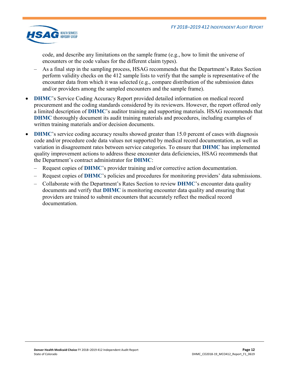

code, and describe any limitations on the sample frame (e.g., how to limit the universe of encounters or the code values for the different claim types).

- As a final step in the sampling process, HSAG recommends that the Department's Rates Section perform validity checks on the 412 sample lists to verify that the sample is representative of the encounter data from which it was selected (e.g., compare distribution of the submission dates and/or providers among the sampled encounters and the sample frame).
- **DHMC**'s Service Coding Accuracy Report provided detailed information on medical record procurement and the coding standards considered by its reviewers. However, the report offered only a limited description of **DHMC**'s auditor training and supporting materials. HSAG recommends that **DHMC** thoroughly document its audit training materials and procedures, including examples of written training materials and/or decision documents.
- **DHMC**'s service coding accuracy results showed greater than 15.0 percent of cases with diagnosis code and/or procedure code data values not supported by medical record documentation, as well as variation in disagreement rates between service categories. To ensure that **DHMC** has implemented quality improvement actions to address these encounter data deficiencies, HSAG recommends that the Department's contract administrator for **DHMC**:
	- Request copies of **DHMC**'s provider training and/or corrective action documentation.
	- Request copies of **DHMC**'s policies and procedures for monitoring providers' data submissions.
	- Collaborate with the Department's Rates Section to review **DHMC**'s encounter data quality documents and verify that **DHMC** is monitoring encounter data quality and ensuring that providers are trained to submit encounters that accurately reflect the medical record documentation.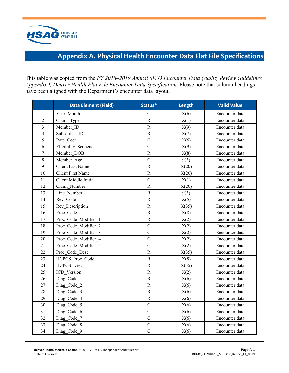

# **Appendix A. Physical Health Encounter Data Flat File Specifications**

<span id="page-14-0"></span>This table was copied from the *FY 2018–2019 Annual MCO Encounter Data Quality Review Guidelines Appendix I, Denver Health Flat File Encounter Data Specification*. Please note that column headings have been aligned with the Department's encounter data layout.

|                | <b>Data Element (Field)</b> | Status*               | Length | <b>Valid Value</b> |
|----------------|-----------------------------|-----------------------|--------|--------------------|
| 1              | Year Month                  | $\mathbf C$           | X(6)   | Encounter data     |
| $\overline{2}$ | Claim Type                  | $\mathbf R$           | X(1)   | Encounter data     |
| 3              | Member ID                   | $\mathbf R$           | X(9)   | Encounter data     |
| $\overline{4}$ | Subscriber ID               | ${\bf R}$             | X(7)   | Encounter data     |
| 5              | Rate Code                   | $\mathsf{C}$          | X(6)   | Encounter data     |
| 6              | Eligibility Sequence        | $\overline{C}$        | X(9)   | Encounter data     |
| $\overline{7}$ | Member DOB                  | ${\bf R}$             | X(8)   | Encounter data     |
| 8              | Member Age                  | $\overline{C}$        | 9(3)   | Encounter data     |
| 9              | <b>Client Last Name</b>     | $\overline{\text{R}}$ | X(20)  | Encounter data     |
| 10             | <b>Client First Name</b>    | $\mathbf R$           | X(20)  | Encounter data     |
| 11             | Client Middle Initial       | $\overline{C}$        | X(1)   | Encounter data     |
| 12             | Claim Number                | ${\bf R}$             | X(20)  | Encounter data     |
| 13             | Line Number                 | $\mathbf R$           | 9(3)   | Encounter data     |
| 14             | Rev Code                    | ${\bf R}$             | X(5)   | Encounter data     |
| 15             | Rev Description             | $\mathbf R$           | X(35)  | Encounter data     |
| 16             | Proc Code                   | ${\bf R}$             | X(8)   | Encounter data     |
| 17             | Proc Code Modifier 1        | ${\bf R}$             | X(2)   | Encounter data     |
| 18             | Proc Code Modifier 2        | $\overline{C}$        | X(2)   | Encounter data     |
| 19             | Proc Code Modifier 3        | $\overline{C}$        | X(2)   | Encounter data     |
| 20             | Proc Code Modifier 4        | $\mathcal{C}$         | X(2)   | Encounter data     |
| 21             | Proc Code Modifier 5        | $\mathcal{C}$         | X(2)   | Encounter data     |
| 22             | Proc Code Desc              | $\mathbf R$           | X(35)  | Encounter data     |
| 23             | HCPCS Proc Code             | $\mathbf R$           | X(8)   | Encounter data     |
| 24             | <b>HCPCS</b> Desc           | ${\bf R}$             | X(35)  | Encounter data     |
| 25             | ICD Version                 | $\overline{\text{R}}$ | X(2)   | Encounter data     |
| 26             | Diag Code 1                 | ${\bf R}$             | X(6)   | Encounter data     |
| 27             | Diag Code 2                 | ${\bf R}$             | X(6)   | Encounter data     |
| 28             | Diag Code 3                 | $\mathbf R$           | X(6)   | Encounter data     |
| 29             | Diag Code 4                 | ${\bf R}$             | X(6)   | Encounter data     |
| 30             | Diag Code 5                 | $\overline{C}$        | X(6)   | Encounter data     |
| 31             | Diag Code 6                 | $\overline{C}$        | X(6)   | Encounter data     |
| 32             | Diag_Code 7                 | $\mathcal{C}$         | X(6)   | Encounter data     |
| 33             | Diag Code 8                 | $\mathbf C$           | X(6)   | Encounter data     |
| 34             | Diag Code 9                 | $\overline{C}$        | X(6)   | Encounter data     |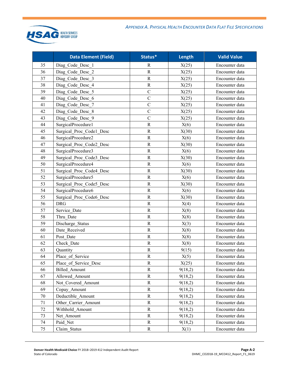

|    | <b>Data Element (Field)</b> | Status*        | Length  | <b>Valid Value</b> |
|----|-----------------------------|----------------|---------|--------------------|
| 35 | Diag Code Desc 1            | R              | X(25)   | Encounter data     |
| 36 | Diag Code Desc 2            | ${\bf R}$      | X(25)   | Encounter data     |
| 37 | Diag Code Desc 3            | $\mathbf R$    | X(25)   | Encounter data     |
| 38 | Diag Code Desc 4            | $\mathbb{R}$   | X(25)   | Encounter data     |
| 39 | Diag Code Desc 5            | $\mathcal{C}$  | X(25)   | Encounter data     |
| 40 | Diag Code Desc 6            | $\overline{C}$ | X(25)   | Encounter data     |
| 41 | Diag Code Desc 7            | $\mathcal{C}$  | X(25)   | Encounter data     |
| 42 | Diag Code Desc 8            | $\mathcal{C}$  | X(25)   | Encounter data     |
| 43 | Diag Code Desc 9            | $\overline{C}$ | X(25)   | Encounter data     |
| 44 | SurgicalProcedure1          | $\mathbb{R}$   | X(6)    | Encounter data     |
| 45 | Surgical Proc Codel Desc    | ${\bf R}$      | X(30)   | Encounter data     |
| 46 | SurgicalProcedure2          | ${\bf R}$      | X(6)    | Encounter data     |
| 47 | Surgical Proc Code2 Desc    | $\mathbb{R}$   | X(30)   | Encounter data     |
| 48 | SurgicalProcedure3          | ${\bf R}$      | X(6)    | Encounter data     |
| 49 | Surgical Proc_Code3_Desc    | ${\bf R}$      | X(30)   | Encounter data     |
| 50 | SurgicalProcedure4          | $\mathbb{R}$   | X(6)    | Encounter data     |
| 51 | Surgical Proc_Code4_Desc    | ${\bf R}$      | X(30)   | Encounter data     |
| 52 | SurgicalProcedure5          | ${\bf R}$      | X(6)    | Encounter data     |
| 53 | Surgical Proc Code5 Desc    | ${\bf R}$      | X(30)   | Encounter data     |
| 54 | SurgicalProcedure6          | ${\bf R}$      | X(6)    | Encounter data     |
| 55 | Surgical Proc_Code6_Desc    | ${\bf R}$      | X(30)   | Encounter data     |
| 56 | <b>DRG</b>                  | $\mathbb{R}$   | X(4)    | Encounter data     |
| 57 | Service Date                | ${\bf R}$      | X(8)    | Encounter data     |
| 58 | Thru Date                   | $\mathbb{R}$   | X(8)    | Encounter data     |
| 59 | Discharge Status            | ${\bf R}$      | X(3)    | Encounter data     |
| 60 | Date Received               | ${\bf R}$      | X(8)    | Encounter data     |
| 61 | Post Date                   | ${\bf R}$      | X(8)    | Encounter data     |
| 62 | Check Date                  | $\mathbb{R}$   | X(8)    | Encounter data     |
| 63 | Quantity                    | ${\bf R}$      | 9(15)   | Encounter data     |
| 64 | Place of Service            | $\mathbb{R}$   | X(5)    | Encounter data     |
| 65 | Place of Service Desc       | $\mathbb{R}$   | X(25)   | Encounter data     |
| 66 | <b>Billed</b> Amount        | $\mathbf R$    | 9(18,2) | Encounter data     |
| 67 | Allowed Amount              | $\mathbb{R}$   | 9(18,2) | Encounter data     |
| 68 | Not Covered Amount          | $\mathbf R$    | 9(18,2) | Encounter data     |
| 69 | Copay Amount                | $\mathbf R$    | 9(18,2) | Encounter data     |
| 70 | Deductible Amount           | $\mathbb{R}$   | 9(18,2) | Encounter data     |
| 71 | Other Carrier Amount        | $\mathbf R$    | 9(18,2) | Encounter data     |
| 72 | Withhold Amount             | $\mathbf R$    | 9(18,2) | Encounter data     |
| 73 | Net Amount                  | $\mathbf R$    | 9(18,2) | Encounter data     |
| 74 | Paid Net                    | R              | 9(18,2) | Encounter data     |
| 75 | Claim Status                | $\mathbf R$    | X(1)    | Encounter data     |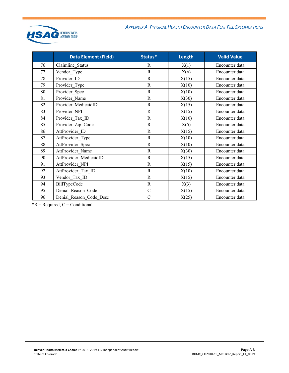

|    | <b>Data Element (Field)</b> | Status*      | <b>Length</b> | <b>Valid Value</b> |
|----|-----------------------------|--------------|---------------|--------------------|
| 76 | Claimline Status            | R            | X(1)          | Encounter data     |
| 77 | Vendor Type                 | $\mathbf R$  | X(6)          | Encounter data     |
| 78 | Provider ID                 | $\mathbb{R}$ | X(15)         | Encounter data     |
| 79 | Provider_Type               | $\mathbf R$  | X(10)         | Encounter data     |
| 80 | Provider_Spec               | $\mathbf R$  | X(10)         | Encounter data     |
| 81 | Provider Name               | $\mathbf R$  | X(30)         | Encounter data     |
| 82 | Provider MedicaidID         | $\mathbf R$  | X(15)         | Encounter data     |
| 83 | Provider NPI                | $\mathbf R$  | X(15)         | Encounter data     |
| 84 | Provider Tax ID             | ${\bf R}$    | X(10)         | Encounter data     |
| 85 | Provider_Zip_Code           | $\mathbf R$  | X(5)          | Encounter data     |
| 86 | AttProvider ID              | $\mathbb{R}$ | X(15)         | Encounter data     |
| 87 | AttProvider Type            | ${\bf R}$    | X(10)         | Encounter data     |
| 88 | AttProvider Spec            | $\mathbf R$  | X(10)         | Encounter data     |
| 89 | AttProvider Name            | $\mathbb{R}$ | X(30)         | Encounter data     |
| 90 | AttProvider MedicaidID      | $\mathbf R$  | X(15)         | Encounter data     |
| 91 | AttProvider NPI             | $\mathbf R$  | X(15)         | Encounter data     |
| 92 | AttProvider Tax ID          | ${\bf R}$    | X(10)         | Encounter data     |
| 93 | Vendor Tax ID               | $\mathbf R$  | X(15)         | Encounter data     |
| 94 | BillTypeCode                | $\mathbb{R}$ | X(3)          | Encounter data     |
| 95 | Denial Reason Code          | $\mathbf C$  | X(15)         | Encounter data     |
| 96 | Denial Reason Code Desc     | $\mathbf C$  | X(25)         | Encounter data     |

 $*R$  = Required,  $C$  = Conditional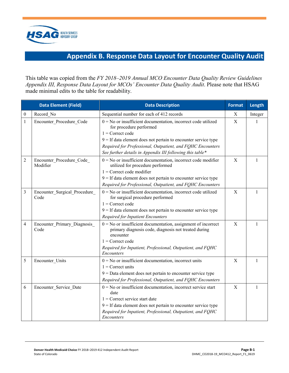

# **Appendix B. Response Data Layout for Encounter Quality Audit**

<span id="page-17-0"></span>This table was copied from the *FY 2018–2019 Annual MCO Encounter Data Quality Review Guidelines Appendix III, Response Data Layout for MCOs' Encounter Data Quality Audit*. Please note that HSAG made minimal edits to the table for readability.

|                  | <b>Data Element (Field)</b>           | <b>Data Description</b>                                                                                                                                                                                                                                                                                         | <b>Format</b> | Length  |
|------------------|---------------------------------------|-----------------------------------------------------------------------------------------------------------------------------------------------------------------------------------------------------------------------------------------------------------------------------------------------------------------|---------------|---------|
| $\boldsymbol{0}$ | Record No                             | Sequential number for each of 412 records                                                                                                                                                                                                                                                                       | Χ             | Integer |
| 1                | Encounter Procedure Code              | $0 = No$ or insufficient documentation, incorrect code utilized<br>for procedure performed<br>$1 =$ Correct code<br>$9 =$ If data element does not pertain to encounter service type<br>Required for Professional, Outpatient, and FQHC Encounters<br>See further details in Appendix III following this table* | $\mathbf X$   | 1       |
| 2                | Encounter Procedure Code<br>Modifier  | $0 = No$ or insufficient documentation, incorrect code modifier<br>utilized for procedure performed<br>$1 =$ Correct code modifier<br>$9 =$ If data element does not pertain to encounter service type<br>Required for Professional, Outpatient, and FQHC Encounters                                            | X             | 1       |
| 3                | Encounter_Surgical_Procedure_<br>Code | $0 = No$ or insufficient documentation, incorrect code utilized<br>for surgical procedure performed<br>$1 =$ Correct code<br>$9 =$ If data element does not pertain to encounter service type<br><b>Required for Inpatient Encounters</b>                                                                       | $\mathbf X$   | 1       |
| 4                | Encounter Primary Diagnosis<br>Code   | $0 = No$ or insufficient documentation, assignment of incorrect<br>primary diagnosis code, diagnosis not treated during<br>encounter<br>$1 =$ Correct code<br>Required for Inpatient, Professional, Outpatient, and FQHC<br>Encounters                                                                          | X             | 1       |
| 5                | Encounter_Units                       | $0 = No$ or insufficient documentation, incorrect units<br>$1$ = Correct units<br>$9 =$ Data element does not pertain to encounter service type<br>Required for Professional, Outpatient, and FQHC Encounters                                                                                                   | X             | 1       |
| 6                | Encounter Service Date                | $0 = No$ or insufficient documentation, incorrect service start<br>date<br>$1$ = Correct service start date<br>$9 =$ If data element does not pertain to encounter service type<br>Required for Inpatient, Professional, Outpatient, and FQHC<br>Encounters                                                     | X             | 1       |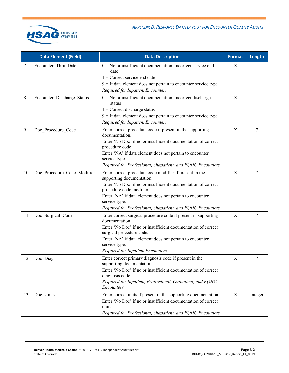

|    | <b>Data Element (Field)</b> | <b>Data Description</b>                                                                   | Format      | Length           |
|----|-----------------------------|-------------------------------------------------------------------------------------------|-------------|------------------|
| 7  | Encounter_Thru_Date         | $0 = No$ or insufficient documentation, incorrect service end<br>date                     | X           | 1                |
|    |                             | $1$ = Correct service end date                                                            |             |                  |
|    |                             | $9 =$ If data element does not pertain to encounter service type                          |             |                  |
|    |                             | <b>Required for Inpatient Encounters</b>                                                  |             |                  |
| 8  | Encounter_Discharge_Status  | $0 = No$ or insufficient documentation, incorrect discharge<br>status                     | X           | 1                |
|    |                             | $1$ = Correct discharge status                                                            |             |                  |
|    |                             | $9 =$ If data element does not pertain to encounter service type                          |             |                  |
|    |                             | Required for Inpatient Encounters                                                         |             |                  |
| 9  | Doc_Procedure_Code          | Enter correct procedure code if present in the supporting<br>documentation.               | $\mathbf X$ | 7                |
|    |                             | Enter 'No Doc' if no or insufficient documentation of correct<br>procedure code.          |             |                  |
|    |                             | Enter 'NA' if data element does not pertain to encounter<br>service type.                 |             |                  |
|    |                             | Required for Professional, Outpatient, and FQHC Encounters                                |             |                  |
| 10 | Doc Procedure Code Modifier | Enter correct procedure code modifier if present in the<br>supporting documentation.      | X           | 7                |
|    |                             | Enter 'No Doc' if no or insufficient documentation of correct<br>procedure code modifier. |             |                  |
|    |                             | Enter 'NA' if data element does not pertain to encounter<br>service type.                 |             |                  |
|    |                             | Required for Professional, Outpatient, and FQHC Encounters                                |             |                  |
| 11 | Doc_Surgical_Code           | Enter correct surgical procedure code if present in supporting<br>documentation.          | $\mathbf X$ | 7                |
|    |                             | Enter 'No Doc' if no or insufficient documentation of correct<br>surgical procedure code. |             |                  |
|    |                             | Enter 'NA' if data element does not pertain to encounter<br>service type.                 |             |                  |
|    |                             | Required for Inpatient Encounters                                                         |             |                  |
| 12 | Doc Diag                    | Enter correct primary diagnosis code if present in the<br>supporting documentation.       | $\mathbf X$ | $\boldsymbol{7}$ |
|    |                             | Enter 'No Doc' if no or insufficient documentation of correct<br>diagnosis code.          |             |                  |
|    |                             | Required for Inpatient, Professional, Outpatient, and FQHC<br>Encounters                  |             |                  |
| 13 | Doc Units                   | Enter correct units if present in the supporting documentation.                           | X           | Integer          |
|    |                             | Enter 'No Doc' if no or insufficient documentation of correct<br>units.                   |             |                  |
|    |                             | Required for Professional, Outpatient, and FQHC Encounters                                |             |                  |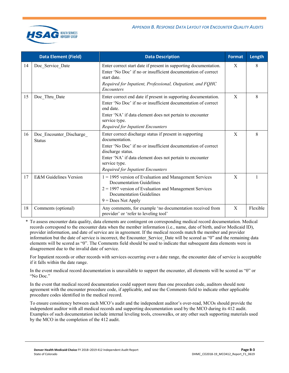|    | <b>Data Element (Field)</b>               | <b>Data Description</b>                                                                                                                                                                                                                                                                  | <b>Format</b> | Length   |
|----|-------------------------------------------|------------------------------------------------------------------------------------------------------------------------------------------------------------------------------------------------------------------------------------------------------------------------------------------|---------------|----------|
| 14 | Doc_Service_Date                          | Enter correct start date if present in supporting documentation.<br>Enter 'No Doc' if no or insufficient documentation of correct<br>start date.<br>Required for Inpatient, Professional, Outpatient, and FQHC<br><i>Encounters</i>                                                      | X             | 8        |
| 15 | Doc Thru Date                             | Enter correct end date if present in supporting documentation.<br>Enter 'No Doc' if no or insufficient documentation of correct<br>end date.<br>Enter 'NA' if data element does not pertain to encounter<br>service type.<br>Required for Inpatient Encounters                           | X             | 8        |
| 16 | Doc_Encounter_Discharge_<br><b>Status</b> | Enter correct discharge status if present in supporting<br>documentation.<br>Enter 'No Doc' if no or insufficient documentation of correct<br>discharge status.<br>Enter 'NA' if data element does not pertain to encounter<br>service type.<br><b>Required for Inpatient Encounters</b> | X             | 8        |
| 17 | <b>E&amp;M</b> Guidelines Version         | $1 = 1995$ version of Evaluation and Management Services<br>Documentation Guidelines<br>$2 = 1997$ version of Evaluation and Management Services<br><b>Documentation Guidelines</b><br>$9 = Does Not Apply$                                                                              | X             |          |
| 18 | Comments (optional)                       | Any comments, for example 'no documentation received from<br>provider' or 'refer to leveling tool'                                                                                                                                                                                       | X             | Flexible |

\* To assess encounter data quality, data elements are contingent on corresponding medical record documentation. Medical records correspond to the encounter data when the member information (i.e., name, date of birth, and/or Medicaid ID), provider information, and date of service are in agreement. If the medical records match the member and provider information but the date of service is incorrect, the Encounter Service Date will be scored as "0" and the remaining data elements will be scored as "0". The Comments field should be used to indicate that subsequent data elements were in disagreement due to the invalid date of service.

For Inpatient records or other records with services occurring over a date range, the encounter date of service is acceptable if it falls within the date range.

In the event medical record documentation is unavailable to support the encounter, all elements will be scored as "0" or "No Doc."

In the event that medical record documentation could support more than one procedure code, auditors should note agreement with the encounter procedure code, if applicable, and use the Comments field to indicate other applicable procedure codes identified in the medical record.

To ensure consistency between each MCO's audit and the independent auditor's over-read, MCOs should provide the independent auditor with all medical records and supporting documentation used by the MCO during its 412 audit. Examples of such documentation include internal leveling tools, crosswalks, or any other such supporting materials used by the MCO in the completion of the 412 audit.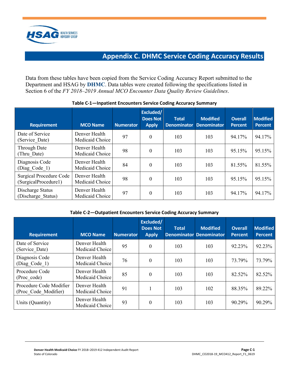

# **Appendix C. DHMC Service Coding Accuracy Results**

<span id="page-20-0"></span>Data from these tables have been copied from the Service Coding Accuracy Report submitted to the Department and HSAG by **DHMC**. Data tables were created following the specifications listed in Section 6 of the *FY 2018–2019 Annual MCO Encounter Data Quality Review Guidelines*.

| <b>Requirement</b>                                     | <b>MCO Name</b>                  | <b>Numerator</b> | Excluded/<br><b>Does Not</b><br><b>Apply</b> | <b>Total</b><br><b>Denominator</b> | <b>Modified</b><br><b>Denominator</b> | <b>Overall</b><br><b>Percent</b> | <b>Modified</b><br><b>Percent</b> |
|--------------------------------------------------------|----------------------------------|------------------|----------------------------------------------|------------------------------------|---------------------------------------|----------------------------------|-----------------------------------|
| Date of Service<br>(Service Date)                      | Denver Health<br>Medicaid Choice | 97               | $\theta$                                     | 103                                | 103                                   | 94.17%                           | 94.17%                            |
| <b>Through Date</b><br>(Thru Date)                     | Denver Health<br>Medicaid Choice | 98               | $\boldsymbol{0}$                             | 103                                | 103                                   | 95.15%                           | 95.15%                            |
| Diagnosis Code<br>(Diag Code 1)                        | Denver Health<br>Medicaid Choice | 84               | $\boldsymbol{0}$                             | 103                                | 103                                   | 81.55%                           | 81.55%                            |
| <b>Surgical Procedure Code</b><br>(SurgicalProcedure1) | Denver Health<br>Medicaid Choice | 98               | $\boldsymbol{0}$                             | 103                                | 103                                   | 95.15%                           | 95.15%                            |
| Discharge Status<br>(Discharge Status)                 | Denver Health<br>Medicaid Choice | 97               | $\boldsymbol{0}$                             | 103                                | 103                                   | 94.17%                           | 94.17%                            |

#### **Table C-1—Inpatient Encounters Service Coding Accuracy Summary**

#### **Table C-2—Outpatient Encounters Service Coding Accuracy Summary**

| <b>Requirement</b>                              | <b>MCO Name</b>                  | <b>Numerator</b> | Excluded/<br><b>Does Not</b><br><b>Apply</b> | <b>Total</b> | <b>Modified</b><br><b>Denominator Denominator</b> | <b>Overall</b><br><b>Percent</b> | <b>Modified</b><br><b>Percent</b> |
|-------------------------------------------------|----------------------------------|------------------|----------------------------------------------|--------------|---------------------------------------------------|----------------------------------|-----------------------------------|
| Date of Service<br>(Service Date)               | Denver Health<br>Medicaid Choice | 95               | $\Omega$                                     | 103          | 103                                               | 92.23%                           | 92.23%                            |
| Diagnosis Code<br>(Diag Code 1)                 | Denver Health<br>Medicaid Choice | 76               | $\theta$                                     | 103          | 103                                               | 73.79%                           | 73.79%                            |
| Procedure Code<br>(Proc code)                   | Denver Health<br>Medicaid Choice | 85               | $\Omega$                                     | 103          | 103                                               | 82.52%                           | 82.52%                            |
| Procedure Code Modifier<br>(Proc Code Modifier) | Denver Health<br>Medicaid Choice | 91               |                                              | 103          | 102                                               | 88.35%                           | 89.22%                            |
| Units (Quantity)                                | Denver Health<br>Medicaid Choice | 93               | $\Omega$                                     | 103          | 103                                               | 90.29%                           | 90.29%                            |